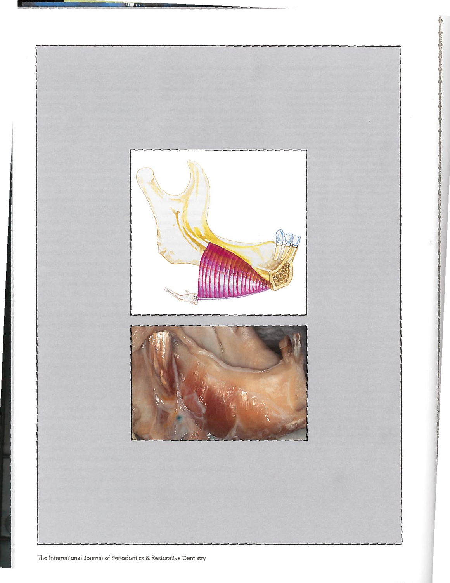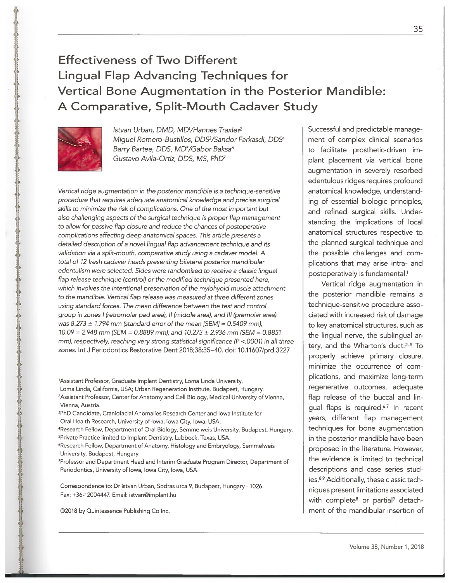# **Effectiveness of Two Different Lingual Flap Advancing Techniques for** Vertical Bone Augmentation in the Posterior Mandible: A Comparative, Split-Mouth Cadaver Study



Istvan Urban, DMD, MD<sup>1</sup>/Hannes Traxler<sup>2</sup> Miguel Romero-Bustillos, DDS<sup>3</sup>/Sandor Farkasdi, DDS<sup>4</sup> Barry Bartee, DDS, MD<sup>5</sup>/Gabor Baksa<sup>6</sup> Gustavo Avila-Ortiz, DDS, MS, PhD<sup>7</sup>

Vertical ridge augmentation in the posterior mandible is a technique-sensitive procedure that requires adequate anatomical knowledge and precise surgical skills to minimize the risk of complications. One of the most important but also challenging aspects of the surgical technique is proper flap management to allow for passive flap closure and reduce the chances of postoperative complications affecting deep anatomical spaces. This article presents a detailed description of a novel lingual flap advancement technique and its validation via a split-mouth, comparative study using a cadaver model. A total of 12 fresh cadaver heads presenting bilateral posterior mandibular edentulism were selected. Sides were randomized to receive a classic lingual flap release technique (control) or the modified technique presented here, which involves the intentional preservation of the mylohyoid muscle attachment to the mandible. Vertical flap release was measured at three different zones using standard forces. The mean difference between the test and control group in zones I (retromolar pad area), II (middle area), and III (premolar area) was  $8.273 \pm 1.794$  mm (standard error of the mean [SEM] = 0.5409 mm),  $10.09 \pm 2.948$  mm (SEM = 0.8889 mm), and  $10.273 \pm 2.936$  mm (SEM = 0.8851 mm), respectively, reaching very strong statistical significance (P <.0001) in all three zones. Int J Periodontics Restorative Dent 2018;38:35-40. doi: 10.11607/prd.3227

<sup>1</sup>Assistant Professor, Graduate Implant Dentistry, Loma Linda University, Loma Linda, California, USA; Urban Regeneration Institute, Budapest, Hungary. <sup>2</sup>Assistant Professor, Center for Anatomy and Cell Biology, Medical University of Vienna, Vienna, Austria.

<sup>3</sup>PhD Candidate, Craniofacial Anomalies Research Center and Iowa Institute for Oral Health Research, University of Iowa, Iowa City, Iowa, USA.

<sup>4</sup>Research Fellow, Department of Oral Biology, Semmelweis University, Budapest, Hungary. <sup>5</sup>Private Practice limited to Implant Dentistry, Lubbock, Texas, USA.

<sup>6</sup>Research Fellow, Department of Anatomy, Histology and Embryology, Semmelweis University, Budapest, Hungary.

<sup>7</sup>Professor and Department Head and Interim Graduate Program Director, Department of Periodontics, University of Iowa, Iowa City, Iowa, USA.

Correspondence to: Dr Istvan Urban, Sodras utca 9, Budapest, Hungary - 1026. Fax: +36-12004447. Email: istvan@implant.hu

©2018 by Quintessence Publishing Co Inc.

Successful and predictable management of complex clinical scenarios to facilitate prosthetic-driven implant placement via vertical bone augmentation in severely resorbed edentulous ridges requires profound anatomical knowledge, understanding of essential biologic principles, and refined surgical skills. Understanding the implications of local anatomical structures respective to the planned surgical technique and the possible challenges and complications that may arise intra- and postoperatively is fundamental.<sup>1</sup>

Vertical ridge augmentation in the posterior mandible remains a technique-sensitive procedure associated with increased risk of damage to key anatomical structures, such as the lingual nerve, the sublingual artery, and the Wharton's duct.<sup>2-5</sup> To properly achieve primary closure, minimize the occurrence of complications, and maximize long-term regenerative outcomes, adequate flap release of the buccal and lingual flaps is required.<sup>6,7</sup> In recent years, different flap management techniques for bone augmentation in the posterior mandible have been proposed in the literature. However, the evidence is limited to technical descriptions and case series studies.<sup>8,9</sup> Additionally, these classic techniques present limitations associated with complete<sup>8</sup> or partial<sup>9</sup> detachment of the mandibular insertion of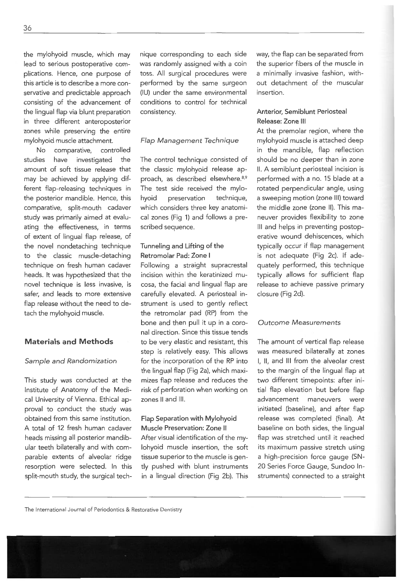the mylohyoid muscle, which may lead to serious postoperative complications. Hence, one purpose of this article is to describe a more conservative and predictable approach consisting of the advancement of the lingual flap via blunt preparation in three different anteroposterior zones while preserving the entire mylohyoid muscle attachment.

No comparative, controlled studies have investigated the amount of soft tissue release that may be achieved by applying different flap-releasing techniques in the posterior mandible. Hence, this comparative, split-mouth cadaver study was primarily aimed at evaluating the effectiveness, in terms of extent of lingual flap release, of the novel nondetaching technique to the classic muscle-detaching technique on fresh human cadaver heads. It was hypothesized that the novel technique is less invasive, is safer, and leads to more extensive flap release without the need to detach the mylohyoid muscle.

# **Materials and Methods**

#### Sample and Randomization

This study was conducted at the Institute of Anatomy of the Medical University of Vienna. Ethical approval to conduct the study was obtained from this same institution. A total of 12 fresh human cadaver heads missing all posterior mandibular teeth bilaterally and with comparable extents of alveolar ridge resorption were selected. In this split-mouth study, the surgical technique corresponding to each side was randomly assigned with a coin toss. All surgical procedures were performed by the same surgeon (IU) under the same environmental conditions to control for technical consistency.

#### Flap Management Technique

The control technique consisted of the classic mylohyoid release approach, as described elsewhere.<sup>8,9</sup> The test side received the mylopreservation technique, hvoid which considers three key anatomical zones (Fig 1) and follows a prescribed sequence.

# Tunneling and Lifting of the Retromolar Pad: Zone I

Following a straight supracrestal incision within the keratinized mucosa, the facial and lingual flap are carefully elevated. A periosteal instrument is used to gently reflect the retromolar pad (RP) from the bone and then pull it up in a coronal direction. Since this tissue tends to be very elastic and resistant, this step is relatively easy. This allows for the incorporation of the RP into the lingual flap (Fig 2a), which maximizes flap release and reduces the risk of perforation when working on zones II and III.

# Flap Separation with Mylohyoid Muscle Preservation: Zone II

After visual identification of the mylohyoid muscle insertion, the soft tissue superior to the muscle is gently pushed with blunt instruments in a lingual direction (Fig 2b). This

way, the flap can be separated from the superior fibers of the muscle in a minimally invasive fashion, without detachment of the muscular insertion.

# Anterior, Semiblunt Periosteal Release: Zone III

At the premolar region, where the mylohyoid muscle is attached deep in the mandible, flap reflection should be no deeper than in zone II. A semiblunt periosteal incision is performed with a no. 15 blade at a rotated perpendicular angle, using a sweeping motion (zone III) toward the middle zone (zone II). This maneuver provides flexibility to zone III and helps in preventing postoperative wound dehiscences, which typically occur if flap management is not adequate (Fig 2c). If adequately performed, this technique typically allows for sufficient flap release to achieve passive primary closure (Fig 2d).

#### Outcome Measurements

The amount of vertical flap release was measured bilaterally at zones I, II, and III from the alveolar crest to the margin of the lingual flap at two different timepoints: after initial flap elevation but before flap advancement maneuvers were initiated (baseline), and after flap release was completed (final). At baseline on both sides, the lingual flap was stretched until it reached its maximum passive stretch using a high-precision force gauge (SN-20 Series Force Gauge, Sundoo Instruments) connected to a straight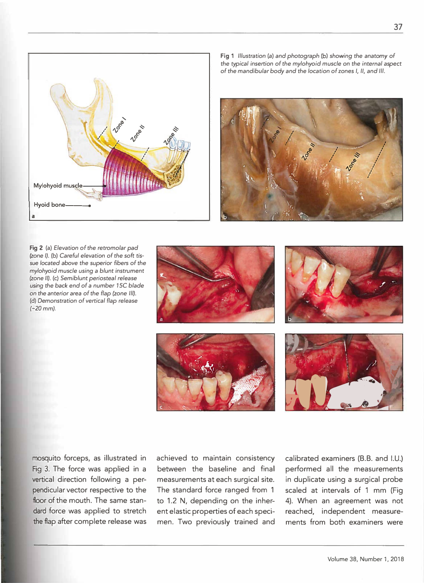

**Fig 2 (a)** *Elevation of the retromolar pad (zone I).* (b) *Careful elevation* of *the* soft tissue *located above the* superior *fibers* of *the mylohyoid muscle* using *a blunt* instrument *(zone II).* **(c)** *Semiblunt periosteal release*  using *the back end of a number 1 SC blade*  on *the* anterior area *of the flap (zone Ill).*  (d) Demonstration *of vertical flap release (-20mm).*

**Fig 1** *Illustration* (a) *and photograph* (b) *showing the* anatomy of *the typical* insertion *of the mylohyoid muscle* on *the internal* aspect of *the mandibular body and the location* of zones *I, II, and Ill.* 





mosquito forceps, as illustrated in Fig 3. The force was applied in a vertical direction following a perpendicular vector respective to the floor of the mouth. The same standard force was applied to stretch the flap after complete release was

achieved to maintain consistency between the baseline and final measurements at each surgical site. The standard force ranged from 1 to 1.2 N, depending on the inherent elastic properties of each specimen. Two previously trained and

calibrated examiners (B.B. and 1.U.) performed all the measurements in duplicate using a surgical probe scaled at intervals of 1 mm (Fig 4). When an agreement was not reached, independent measurements from both examiners were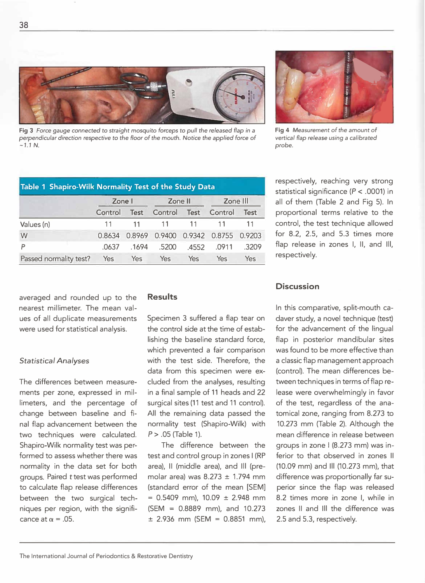

**Fig 3** *Force* gauge connected to *straight mosquito forceps* to *pull the released flap in a perpendicular direction respective* to *the* floor *of the mouth. Notice the applied* force *of*   $-1.1 N$ .



**Fig 4** Measurement *of the amount of vertical flap* release *using a calibrated probe.* 

| Table 1 Shapiro-Wilk Normality Test of the Study Data |         |       |                                    |       |          |             |  |  |  |  |
|-------------------------------------------------------|---------|-------|------------------------------------|-------|----------|-------------|--|--|--|--|
|                                                       | Zone I  |       | Zone II                            |       | Zone III |             |  |  |  |  |
|                                                       | Control |       | Test Control Test Control          |       |          | <b>Test</b> |  |  |  |  |
| Values (n)                                            | 11      | 11    | 11                                 | 11    |          |             |  |  |  |  |
| W                                                     | 0.8634  |       | 0.8969 0.9400 0.9342 0.8755 0.9203 |       |          |             |  |  |  |  |
| P                                                     | .0637   | .1694 | .5200                              | .4552 | .0911    | .3209       |  |  |  |  |
| Passed normality test? Yes                            |         | Yes   | Yes                                | Yes   | Yes      | Yes         |  |  |  |  |

respectively, reaching very strong statistical significance (P < .0001) in all of them (Table 2 and Fig 5). In proportional terms relative to the control, the test technique allowed for 8.2, 2.5, and 5.3 times more flap release in zones I, II, and III, respectively.

averaged and rounded up to the nearest millimeter. The mean values of all duplicate measurements were used for statistical analysis.

### *Statistical Analyses*

The differences between measurements per zone, expressed in millimeters, and the percentage of change between baseline and final flap advancement between the two techniques were calculated. Shapiro-Wilk normality test was performed to assess whether there was normality in the data set for both groups. Paired *t* test was performed to calculate flap release differences between the two surgical techniques per region, with the significance at  $\alpha$  = .05.

# **Results**

Specimen 3 suffered a flap tear on the control side at the time of establishing the baseline standard force, which prevented a fair comparison with the test side. Therefore, the data from this specimen were excluded from the analyses, resulting in a final sample of 11 heads and 22 surgical sites (11 test and 11 control). All the remaining data passed the normality test (Shapiro-Wilk) with *P* > .05 (Table 1).

The difference between the test and control group in zones I (RP area), II (middle area), and Ill (premolar area) was  $8.273 \pm 1.794$  mm (standard error of the mean [SEM]  $= 0.5409$  mm),  $10.09 \pm 2.948$  mm (SEM = 0.8889 mm), and 10.273  $\pm$  2.936 mm (SEM = 0.8851 mm),

### **Discussion**

In this comparative, split-mouth cadaver study, a novel technique (test) for the advancement of the lingual flap in posterior mandibular sites was found to be more effective than a classic flap management approach (control). The mean differences between techniques in terms of flap release were overwhelmingly in favor of the test, regardless of the anatomical zone, ranging from 8.273 to 10.273 mm (Table 2). Although the mean difference in release between groups in zone I (8.273 mm) was inferior to that observed in zones II (10.09 mm) and Ill (10.273 mm), that difference was proportionally far superior since the flap was released 8.2 times more in zone I, while in zones II and Ill the difference was 2.5 and 5.3, respectively.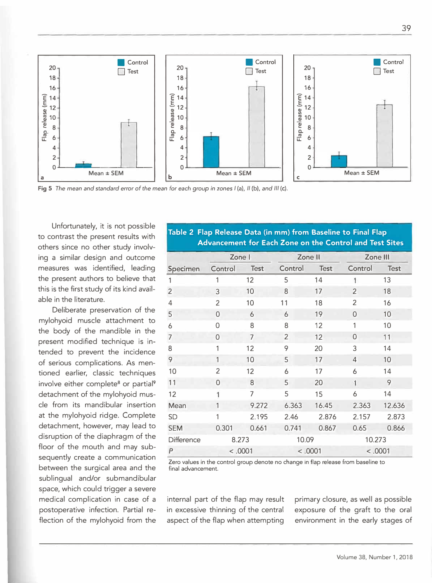

**Fig 5** *The mean and standard error of the mean for each group in zones I* (a), *II* (b), *and Ill* (c).

Unfortunately, it is not possible to contrast the present results with others since no other study involving a similar design and outcome measures was identified, leading the present authors to believe that this is the first study of its kind available in the literature.

Deliberate preservation of the mylohyoid muscle attachment to the body of the mandible in the present modified technique is intended to prevent the incidence of serious complications. As mentioned earlier, classic techniques involve either complete**8** or partial**<sup>9</sup>** detachment of the mylohyoid muscle from its mandibular insertion at the mylohyoid ridge. Complete detachment, however, may lead to disruption of the diaphragm of the floor of the mouth and may subsequently create a communication between the surgical area and the sublingual and/or submandibular space, which could trigger a severe medical complication in case of a postoperative infection. Partial reflection of the mylohyoid from the

# **Table 2 Flap Release Data (in mm) from Baseline to Final Flap Advancement for Each Zone on the Control and Test Sites**

|                | Zone I         |                | Zone II                  |             | Zone III       |             |  |
|----------------|----------------|----------------|--------------------------|-------------|----------------|-------------|--|
| Specimen       | Control        | <b>Test</b>    | Control                  | <b>Test</b> | Control        | <b>Test</b> |  |
| 1              | 1              | 12             | 5                        | 14          | 1              | 13          |  |
| 2              | 3              | 10             | 8                        | 17          | $\overline{2}$ | 18          |  |
| $\overline{4}$ | $\overline{2}$ | 10             | 11                       | 18          | $\overline{2}$ | 16          |  |
| 5              | 0              | 6              | 6                        | 19          | 0              | 10          |  |
| 6              | 0              | 8              | 8                        | 12          | 1              | 10          |  |
| $\overline{7}$ | 0              | $\overline{7}$ | $\overline{\phantom{a}}$ | 12          | 0              | 11          |  |
| 8              | 1              | 12             | 9                        | 20          | 3              | 14          |  |
| 9              | 1              | 10             | 5                        | 17          | $\overline{4}$ | 10          |  |
| 10             | 2              | 12             | 6                        | 17          | 6              | 14          |  |
| 11             | 0              | 8              | 5                        | 20          | 1              | 9           |  |
| 12             |                | 7              | 5                        | 15          | 6              | 14          |  |
| Mean           | 1              | 9.272          | 6.363                    | 16.45       | 2.363          | 12.636      |  |
| <b>SD</b>      | 1              | 2.195          | 2.46                     | 2.876       | 2.157          | 2.873       |  |
| <b>SEM</b>     | 0.301          | 0.661          | 0.741                    | 0.867       | 0.65           | 0.866       |  |
| Difference     | 8.273          |                | 10.09                    |             | 10.273         |             |  |
| P              | < .0001        |                |                          | < .0001     | < .0001        |             |  |

Zero values in the control group denote no change in flap release from baseline to final advancement.

internal part of the flap may result in excessive thinning of the central aspect of the flap when attempting

primary closure, as well as possible exposure of the graft to the oral environment in the early stages of